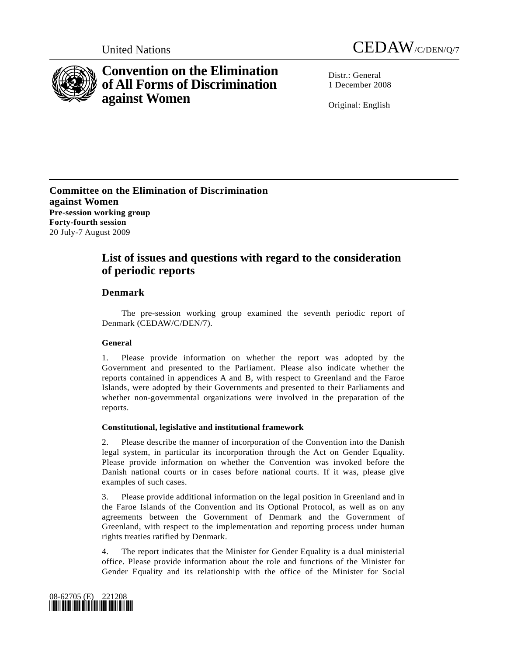



# **Convention on the Elimination of All Forms of Discrimination against Women**

Distr · General 1 December 2008

Original: English

**Committee on the Elimination of Discrimination against Women Pre-session working group Forty-fourth session**  20 July-7 August 2009

## **List of issues and questions with regard to the consideration of periodic reports**

### **Denmark**

 The pre-session working group examined the seventh periodic report of Denmark (CEDAW/C/DEN/7).

#### **General**

1. Please provide information on whether the report was adopted by the Government and presented to the Parliament. Please also indicate whether the reports contained in appendices A and B, with respect to Greenland and the Faroe Islands, were adopted by their Governments and presented to their Parliaments and whether non-governmental organizations were involved in the preparation of the reports.

#### **Constitutional, legislative and institutional framework**

2. Please describe the manner of incorporation of the Convention into the Danish legal system, in particular its incorporation through the Act on Gender Equality. Please provide information on whether the Convention was invoked before the Danish national courts or in cases before national courts. If it was, please give examples of such cases.

3. Please provide additional information on the legal position in Greenland and in the Faroe Islands of the Convention and its Optional Protocol, as well as on any agreements between the Government of Denmark and the Government of Greenland, with respect to the implementation and reporting process under human rights treaties ratified by Denmark.

4. The report indicates that the Minister for Gender Equality is a dual ministerial office. Please provide information about the role and functions of the Minister for Gender Equality and its relationship with the office of the Minister for Social

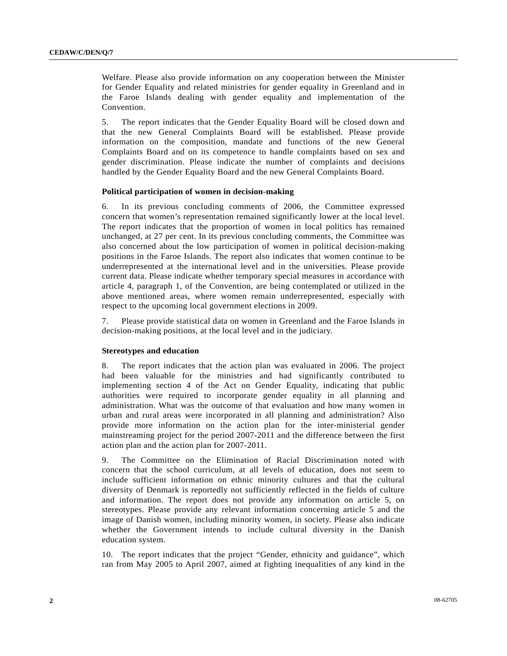Welfare. Please also provide information on any cooperation between the Minister for Gender Equality and related ministries for gender equality in Greenland and in the Faroe Islands dealing with gender equality and implementation of the Convention.

5. The report indicates that the Gender Equality Board will be closed down and that the new General Complaints Board will be established. Please provide information on the composition, mandate and functions of the new General Complaints Board and on its competence to handle complaints based on sex and gender discrimination. Please indicate the number of complaints and decisions handled by the Gender Equality Board and the new General Complaints Board.

#### **Political participation of women in decision-making**

6. In its previous concluding comments of 2006, the Committee expressed concern that women's representation remained significantly lower at the local level. The report indicates that the proportion of women in local politics has remained unchanged, at 27 per cent. In its previous concluding comments, the Committee was also concerned about the low participation of women in political decision-making positions in the Faroe Islands. The report also indicates that women continue to be underrepresented at the international level and in the universities. Please provide current data. Please indicate whether temporary special measures in accordance with article 4, paragraph 1, of the Convention, are being contemplated or utilized in the above mentioned areas, where women remain underrepresented, especially with respect to the upcoming local government elections in 2009.

7. Please provide statistical data on women in Greenland and the Faroe Islands in decision-making positions, at the local level and in the judiciary.

#### **Stereotypes and education**

8. The report indicates that the action plan was evaluated in 2006. The project had been valuable for the ministries and had significantly contributed to implementing section 4 of the Act on Gender Equality, indicating that public authorities were required to incorporate gender equality in all planning and administration. What was the outcome of that evaluation and how many women in urban and rural areas were incorporated in all planning and administration? Also provide more information on the action plan for the inter-ministerial gender mainstreaming project for the period 2007-2011 and the difference between the first action plan and the action plan for 2007-2011.

9. The Committee on the Elimination of Racial Discrimination noted with concern that the school curriculum, at all levels of education, does not seem to include sufficient information on ethnic minority cultures and that the cultural diversity of Denmark is reportedly not sufficiently reflected in the fields of culture and information. The report does not provide any information on article 5, on stereotypes. Please provide any relevant information concerning article 5 and the image of Danish women, including minority women, in society. Please also indicate whether the Government intends to include cultural diversity in the Danish education system.

10. The report indicates that the project "Gender, ethnicity and guidance", which ran from May 2005 to April 2007, aimed at fighting inequalities of any kind in the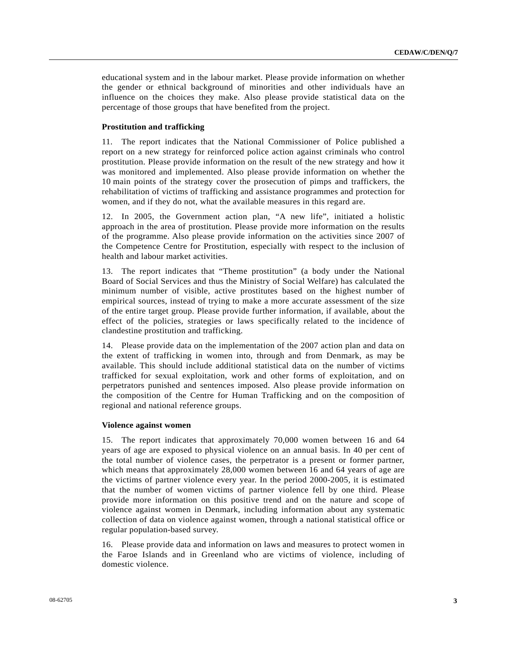educational system and in the labour market. Please provide information on whether the gender or ethnical background of minorities and other individuals have an influence on the choices they make. Also please provide statistical data on the percentage of those groups that have benefited from the project.

#### **Prostitution and trafficking**

11. The report indicates that the National Commissioner of Police published a report on a new strategy for reinforced police action against criminals who control prostitution. Please provide information on the result of the new strategy and how it was monitored and implemented. Also please provide information on whether the 10 main points of the strategy cover the prosecution of pimps and traffickers, the rehabilitation of victims of trafficking and assistance programmes and protection for women, and if they do not, what the available measures in this regard are.

12. In 2005, the Government action plan, "A new life", initiated a holistic approach in the area of prostitution. Please provide more information on the results of the programme. Also please provide information on the activities since 2007 of the Competence Centre for Prostitution, especially with respect to the inclusion of health and labour market activities.

13. The report indicates that "Theme prostitution" (a body under the National Board of Social Services and thus the Ministry of Social Welfare) has calculated the minimum number of visible, active prostitutes based on the highest number of empirical sources, instead of trying to make a more accurate assessment of the size of the entire target group. Please provide further information, if available, about the effect of the policies, strategies or laws specifically related to the incidence of clandestine prostitution and trafficking.

14. Please provide data on the implementation of the 2007 action plan and data on the extent of trafficking in women into, through and from Denmark, as may be available. This should include additional statistical data on the number of victims trafficked for sexual exploitation, work and other forms of exploitation, and on perpetrators punished and sentences imposed. Also please provide information on the composition of the Centre for Human Trafficking and on the composition of regional and national reference groups.

#### **Violence against women**

15. The report indicates that approximately 70,000 women between 16 and 64 years of age are exposed to physical violence on an annual basis. In 40 per cent of the total number of violence cases, the perpetrator is a present or former partner, which means that approximately 28,000 women between 16 and 64 years of age are the victims of partner violence every year. In the period 2000-2005, it is estimated that the number of women victims of partner violence fell by one third. Please provide more information on this positive trend and on the nature and scope of violence against women in Denmark, including information about any systematic collection of data on violence against women, through a national statistical office or regular population-based survey.

16. Please provide data and information on laws and measures to protect women in the Faroe Islands and in Greenland who are victims of violence, including of domestic violence.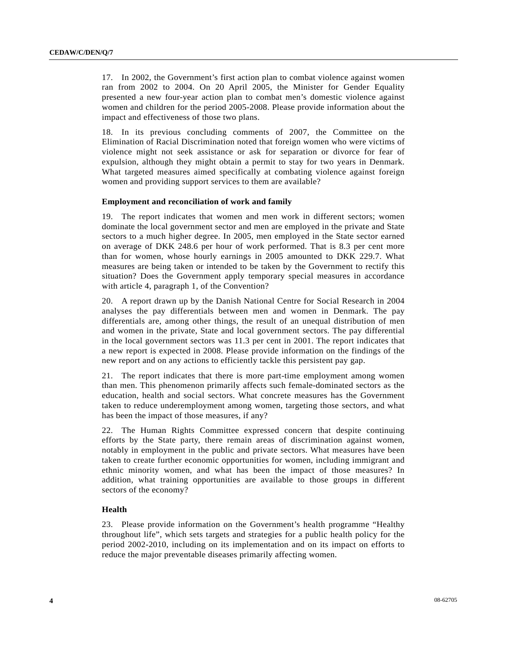17. In 2002, the Government's first action plan to combat violence against women ran from 2002 to 2004. On 20 April 2005, the Minister for Gender Equality presented a new four-year action plan to combat men's domestic violence against women and children for the period 2005-2008. Please provide information about the impact and effectiveness of those two plans.

18. In its previous concluding comments of 2007, the Committee on the Elimination of Racial Discrimination noted that foreign women who were victims of violence might not seek assistance or ask for separation or divorce for fear of expulsion, although they might obtain a permit to stay for two years in Denmark. What targeted measures aimed specifically at combating violence against foreign women and providing support services to them are available?

#### **Employment and reconciliation of work and family**

19. The report indicates that women and men work in different sectors; women dominate the local government sector and men are employed in the private and State sectors to a much higher degree. In 2005, men employed in the State sector earned on average of DKK 248.6 per hour of work performed. That is 8.3 per cent more than for women, whose hourly earnings in 2005 amounted to DKK 229.7. What measures are being taken or intended to be taken by the Government to rectify this situation? Does the Government apply temporary special measures in accordance with article 4, paragraph 1, of the Convention?

20. A report drawn up by the Danish National Centre for Social Research in 2004 analyses the pay differentials between men and women in Denmark. The pay differentials are, among other things, the result of an unequal distribution of men and women in the private, State and local government sectors. The pay differential in the local government sectors was 11.3 per cent in 2001. The report indicates that a new report is expected in 2008. Please provide information on the findings of the new report and on any actions to efficiently tackle this persistent pay gap.

21. The report indicates that there is more part-time employment among women than men. This phenomenon primarily affects such female-dominated sectors as the education, health and social sectors. What concrete measures has the Government taken to reduce underemployment among women, targeting those sectors, and what has been the impact of those measures, if any?

22. The Human Rights Committee expressed concern that despite continuing efforts by the State party, there remain areas of discrimination against women, notably in employment in the public and private sectors. What measures have been taken to create further economic opportunities for women, including immigrant and ethnic minority women, and what has been the impact of those measures? In addition, what training opportunities are available to those groups in different sectors of the economy?

#### **Health**

23. Please provide information on the Government's health programme "Healthy throughout life", which sets targets and strategies for a public health policy for the period 2002-2010, including on its implementation and on its impact on efforts to reduce the major preventable diseases primarily affecting women.